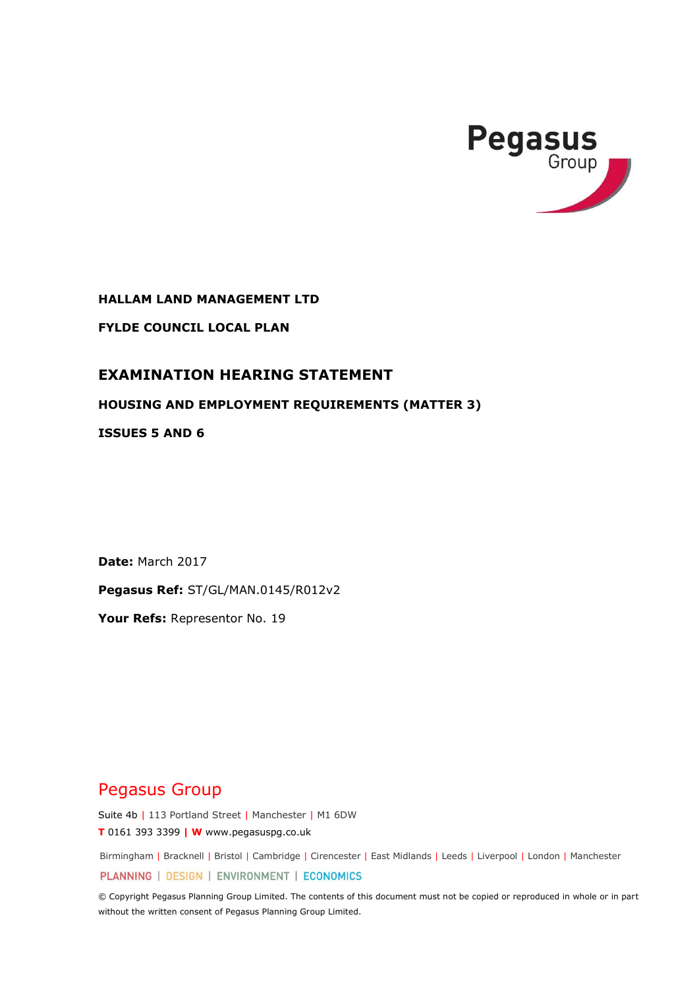

**HALLAM LAND MANAGEMENT LTD**

**FYLDE COUNCIL LOCAL PLAN**

## **EXAMINATION HEARING STATEMENT**

**HOUSING AND EMPLOYMENT REQUIREMENTS (MATTER 3)** 

**ISSUES 5 AND 6**

**Date:** March 2017

**Pegasus Ref:** ST/GL/MAN.0145/R012v2

**Your Refs:** Representor No. 19

# Pegasus Group

Suite 4b | 113 Portland Street | Manchester | M1 6DW

**T** 0161 393 3399 **| W** www.pegasuspg.co.uk

Birmingham | Bracknell | Bristol | Cambridge | Cirencester | East Midlands | Leeds | Liverpool | London | Manchester PLANNING | DESIGN | ENVIRONMENT | ECONOMICS

© Copyright Pegasus Planning Group Limited. The contents of this document must not be copied or reproduced in whole or in part without the written consent of Pegasus Planning Group Limited.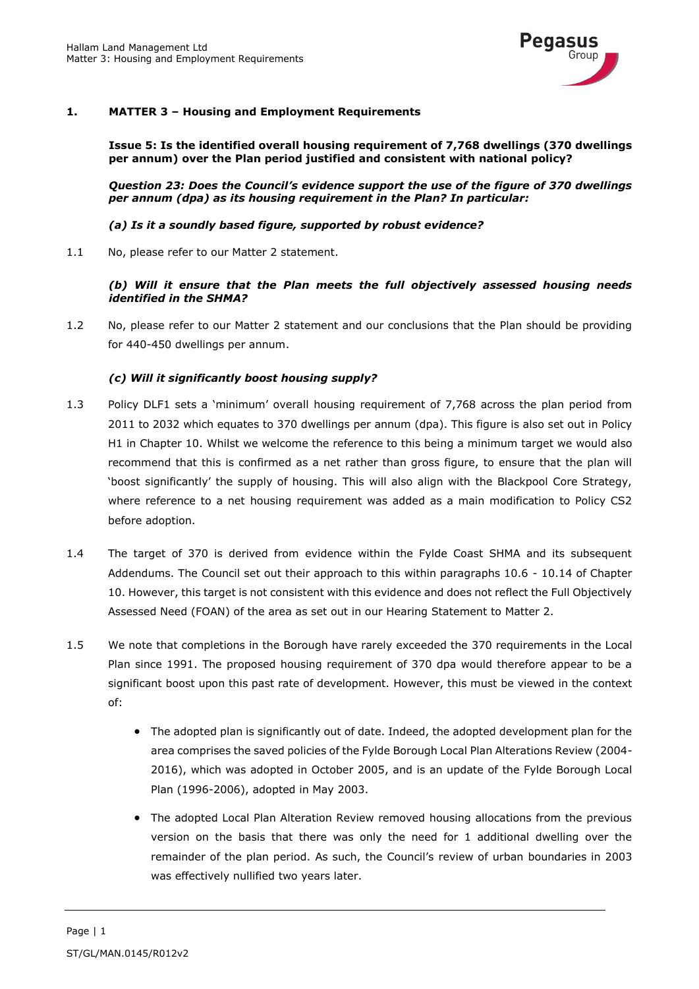

## **1. MATTER 3 – Housing and Employment Requirements**

**Issue 5: Is the identified overall housing requirement of 7,768 dwellings (370 dwellings per annum) over the Plan period justified and consistent with national policy?**

*Question 23: Does the Council's evidence support the use of the figure of 370 dwellings per annum (dpa) as its housing requirement in the Plan? In particular:* 

*(a) Is it a soundly based figure, supported by robust evidence?* 

1.1 No, please refer to our Matter 2 statement.

*(b) Will it ensure that the Plan meets the full objectively assessed housing needs identified in the SHMA?*

1.2 No, please refer to our Matter 2 statement and our conclusions that the Plan should be providing for 440-450 dwellings per annum.

### *(c) Will it significantly boost housing supply?*

- 1.3 Policy DLF1 sets a 'minimum' overall housing requirement of 7,768 across the plan period from 2011 to 2032 which equates to 370 dwellings per annum (dpa). This figure is also set out in Policy H1 in Chapter 10. Whilst we welcome the reference to this being a minimum target we would also recommend that this is confirmed as a net rather than gross figure, to ensure that the plan will 'boost significantly' the supply of housing. This will also align with the Blackpool Core Strategy, where reference to a net housing requirement was added as a main modification to Policy CS2 before adoption.
- 1.4 The target of 370 is derived from evidence within the Fylde Coast SHMA and its subsequent Addendums. The Council set out their approach to this within paragraphs 10.6 - 10.14 of Chapter 10. However, this target is not consistent with this evidence and does not reflect the Full Objectively Assessed Need (FOAN) of the area as set out in our Hearing Statement to Matter 2.
- 1.5 We note that completions in the Borough have rarely exceeded the 370 requirements in the Local Plan since 1991. The proposed housing requirement of 370 dpa would therefore appear to be a significant boost upon this past rate of development. However, this must be viewed in the context of:
	- The adopted plan is significantly out of date. Indeed, the adopted development plan for the area comprises the saved policies of the Fylde Borough Local Plan Alterations Review (2004- 2016), which was adopted in October 2005, and is an update of the Fylde Borough Local Plan (1996-2006), adopted in May 2003.
	- The adopted Local Plan Alteration Review removed housing allocations from the previous version on the basis that there was only the need for 1 additional dwelling over the remainder of the plan period. As such, the Council's review of urban boundaries in 2003 was effectively nullified two years later.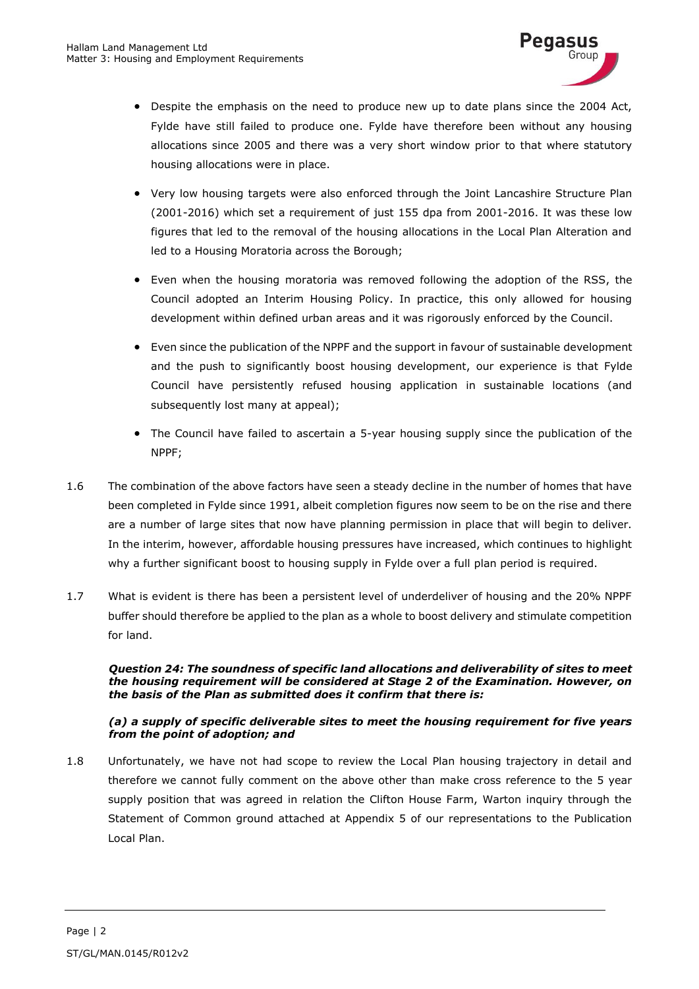

- Despite the emphasis on the need to produce new up to date plans since the 2004 Act, Fylde have still failed to produce one. Fylde have therefore been without any housing allocations since 2005 and there was a very short window prior to that where statutory housing allocations were in place.
- Very low housing targets were also enforced through the Joint Lancashire Structure Plan (2001-2016) which set a requirement of just 155 dpa from 2001-2016. It was these low figures that led to the removal of the housing allocations in the Local Plan Alteration and led to a Housing Moratoria across the Borough;
- Even when the housing moratoria was removed following the adoption of the RSS, the Council adopted an Interim Housing Policy. In practice, this only allowed for housing development within defined urban areas and it was rigorously enforced by the Council.
- Even since the publication of the NPPF and the support in favour of sustainable development and the push to significantly boost housing development, our experience is that Fylde Council have persistently refused housing application in sustainable locations (and subsequently lost many at appeal);
- The Council have failed to ascertain a 5-year housing supply since the publication of the NPPF;
- 1.6 The combination of the above factors have seen a steady decline in the number of homes that have been completed in Fylde since 1991, albeit completion figures now seem to be on the rise and there are a number of large sites that now have planning permission in place that will begin to deliver. In the interim, however, affordable housing pressures have increased, which continues to highlight why a further significant boost to housing supply in Fylde over a full plan period is required.
- 1.7 What is evident is there has been a persistent level of underdeliver of housing and the 20% NPPF buffer should therefore be applied to the plan as a whole to boost delivery and stimulate competition for land.

#### *Question 24: The soundness of specific land allocations and deliverability of sites to meet the housing requirement will be considered at Stage 2 of the Examination. However, on the basis of the Plan as submitted does it confirm that there is:*

#### *(a) a supply of specific deliverable sites to meet the housing requirement for five years from the point of adoption; and*

1.8 Unfortunately, we have not had scope to review the Local Plan housing trajectory in detail and therefore we cannot fully comment on the above other than make cross reference to the 5 year supply position that was agreed in relation the Clifton House Farm, Warton inquiry through the Statement of Common ground attached at Appendix 5 of our representations to the Publication Local Plan.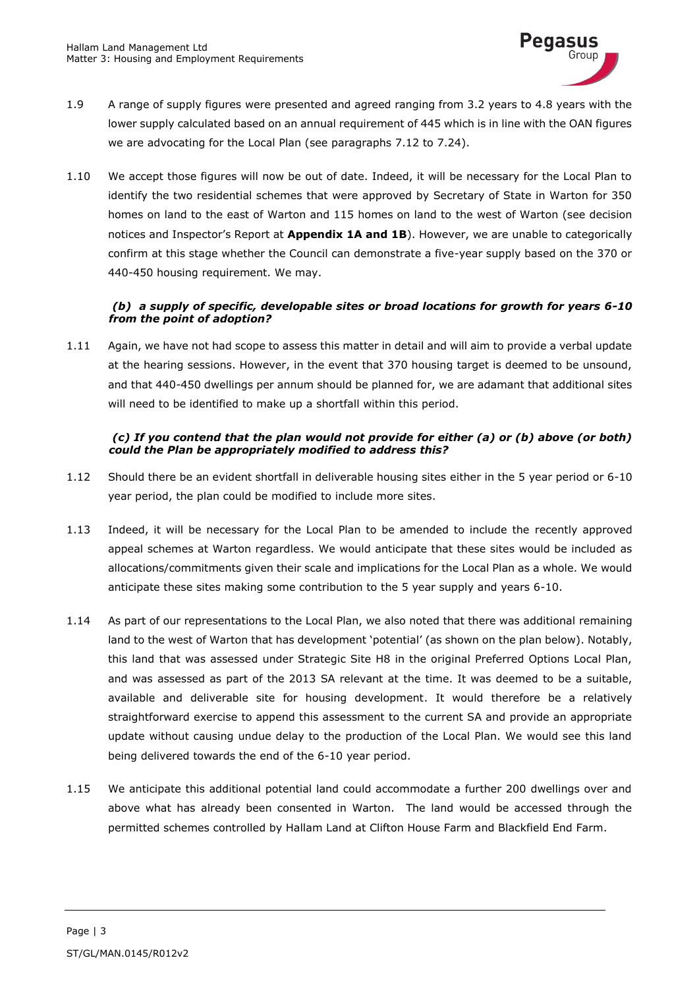

- 1.9 A range of supply figures were presented and agreed ranging from 3.2 years to 4.8 years with the lower supply calculated based on an annual requirement of 445 which is in line with the OAN figures we are advocating for the Local Plan (see paragraphs 7.12 to 7.24).
- 1.10 We accept those figures will now be out of date. Indeed, it will be necessary for the Local Plan to identify the two residential schemes that were approved by Secretary of State in Warton for 350 homes on land to the east of Warton and 115 homes on land to the west of Warton (see decision notices and Inspector's Report at **Appendix 1A and 1B**). However, we are unable to categorically confirm at this stage whether the Council can demonstrate a five-year supply based on the 370 or 440-450 housing requirement. We may.

## *(b) a supply of specific, developable sites or broad locations for growth for years 6-10 from the point of adoption?*

1.11 Again, we have not had scope to assess this matter in detail and will aim to provide a verbal update at the hearing sessions. However, in the event that 370 housing target is deemed to be unsound, and that 440-450 dwellings per annum should be planned for, we are adamant that additional sites will need to be identified to make up a shortfall within this period.

#### *(c) If you contend that the plan would not provide for either (a) or (b) above (or both) could the Plan be appropriately modified to address this?*

- 1.12 Should there be an evident shortfall in deliverable housing sites either in the 5 year period or 6-10 year period, the plan could be modified to include more sites.
- 1.13 Indeed, it will be necessary for the Local Plan to be amended to include the recently approved appeal schemes at Warton regardless. We would anticipate that these sites would be included as allocations/commitments given their scale and implications for the Local Plan as a whole. We would anticipate these sites making some contribution to the 5 year supply and years 6-10.
- 1.14 As part of our representations to the Local Plan, we also noted that there was additional remaining land to the west of Warton that has development 'potential' (as shown on the plan below). Notably, this land that was assessed under Strategic Site H8 in the original Preferred Options Local Plan, and was assessed as part of the 2013 SA relevant at the time. It was deemed to be a suitable, available and deliverable site for housing development. It would therefore be a relatively straightforward exercise to append this assessment to the current SA and provide an appropriate update without causing undue delay to the production of the Local Plan. We would see this land being delivered towards the end of the 6-10 year period.
- 1.15 We anticipate this additional potential land could accommodate a further 200 dwellings over and above what has already been consented in Warton. The land would be accessed through the permitted schemes controlled by Hallam Land at Clifton House Farm and Blackfield End Farm.